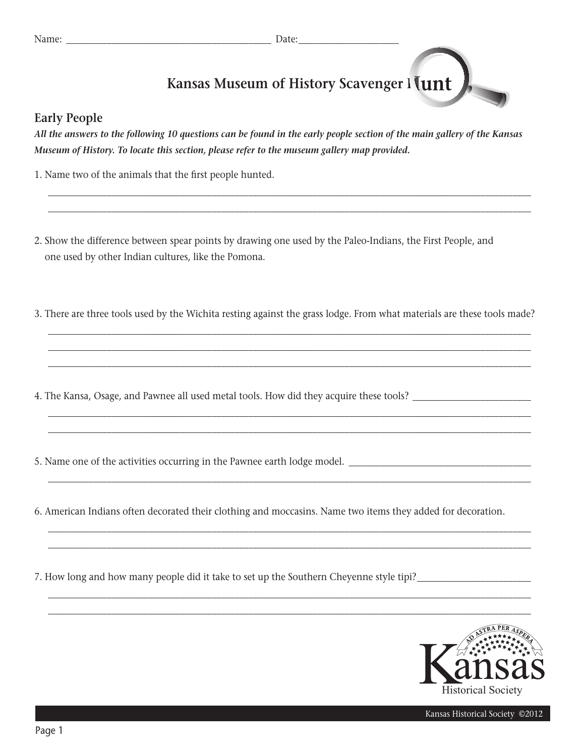# **Kansas Museum of History Scavenger Hunt**

#### **Early People**

*All the answers to the following 10 questions can be found in the early people section of the main gallery of the Kansas Museum of History. To locate this section, please refer to the museum gallery map provided.*

\_\_\_\_\_\_\_\_\_\_\_\_\_\_\_\_\_\_\_\_\_\_\_\_\_\_\_\_\_\_\_\_\_\_\_\_\_\_\_\_\_\_\_\_\_\_\_\_\_\_\_\_\_\_\_\_\_\_\_\_\_\_\_\_\_\_\_\_\_\_\_\_\_\_\_\_\_\_\_\_\_\_\_\_\_\_\_\_\_\_\_\_\_\_\_\_\_\_\_\_\_\_\_\_\_\_ \_\_\_\_\_\_\_\_\_\_\_\_\_\_\_\_\_\_\_\_\_\_\_\_\_\_\_\_\_\_\_\_\_\_\_\_\_\_\_\_\_\_\_\_\_\_\_\_\_\_\_\_\_\_\_\_\_\_\_\_\_\_\_\_\_\_\_\_\_\_\_\_\_\_\_\_\_\_\_\_\_\_\_\_\_\_\_\_\_\_\_\_\_\_\_\_\_\_\_\_\_\_\_\_\_\_

1. Name two of the animals that the first people hunted.

- 2. Show the difference between spear points by drawing one used by the Paleo-Indians, the First People, and one used by other Indian cultures, like the Pomona.
- 3. There are three tools used by the Wichita resting against the grass lodge. From what materials are these tools made?

\_\_\_\_\_\_\_\_\_\_\_\_\_\_\_\_\_\_\_\_\_\_\_\_\_\_\_\_\_\_\_\_\_\_\_\_\_\_\_\_\_\_\_\_\_\_\_\_\_\_\_\_\_\_\_\_\_\_\_\_\_\_\_\_\_\_\_\_\_\_\_\_\_\_\_\_\_\_\_\_\_\_\_\_\_\_\_\_\_\_\_\_\_\_\_\_\_\_\_\_\_\_\_\_\_\_ \_\_\_\_\_\_\_\_\_\_\_\_\_\_\_\_\_\_\_\_\_\_\_\_\_\_\_\_\_\_\_\_\_\_\_\_\_\_\_\_\_\_\_\_\_\_\_\_\_\_\_\_\_\_\_\_\_\_\_\_\_\_\_\_\_\_\_\_\_\_\_\_\_\_\_\_\_\_\_\_\_\_\_\_\_\_\_\_\_\_\_\_\_\_\_\_\_\_\_\_\_\_\_\_\_\_ \_\_\_\_\_\_\_\_\_\_\_\_\_\_\_\_\_\_\_\_\_\_\_\_\_\_\_\_\_\_\_\_\_\_\_\_\_\_\_\_\_\_\_\_\_\_\_\_\_\_\_\_\_\_\_\_\_\_\_\_\_\_\_\_\_\_\_\_\_\_\_\_\_\_\_\_\_\_\_\_\_\_\_\_\_\_\_\_\_\_\_\_\_\_\_\_\_\_\_\_\_\_\_\_\_\_

\_\_\_\_\_\_\_\_\_\_\_\_\_\_\_\_\_\_\_\_\_\_\_\_\_\_\_\_\_\_\_\_\_\_\_\_\_\_\_\_\_\_\_\_\_\_\_\_\_\_\_\_\_\_\_\_\_\_\_\_\_\_\_\_\_\_\_\_\_\_\_\_\_\_\_\_\_\_\_\_\_\_\_\_\_\_\_\_\_\_\_\_\_\_\_\_\_\_\_\_\_\_\_\_\_\_ \_\_\_\_\_\_\_\_\_\_\_\_\_\_\_\_\_\_\_\_\_\_\_\_\_\_\_\_\_\_\_\_\_\_\_\_\_\_\_\_\_\_\_\_\_\_\_\_\_\_\_\_\_\_\_\_\_\_\_\_\_\_\_\_\_\_\_\_\_\_\_\_\_\_\_\_\_\_\_\_\_\_\_\_\_\_\_\_\_\_\_\_\_\_\_\_\_\_\_\_\_\_\_\_\_\_

\_\_\_\_\_\_\_\_\_\_\_\_\_\_\_\_\_\_\_\_\_\_\_\_\_\_\_\_\_\_\_\_\_\_\_\_\_\_\_\_\_\_\_\_\_\_\_\_\_\_\_\_\_\_\_\_\_\_\_\_\_\_\_\_\_\_\_\_\_\_\_\_\_\_\_\_\_\_\_\_\_\_\_\_\_\_\_\_\_\_\_\_\_\_\_\_\_\_\_\_\_\_\_\_\_\_

\_\_\_\_\_\_\_\_\_\_\_\_\_\_\_\_\_\_\_\_\_\_\_\_\_\_\_\_\_\_\_\_\_\_\_\_\_\_\_\_\_\_\_\_\_\_\_\_\_\_\_\_\_\_\_\_\_\_\_\_\_\_\_\_\_\_\_\_\_\_\_\_\_\_\_\_\_\_\_\_\_\_\_\_\_\_\_\_\_\_\_\_\_\_\_\_\_\_\_\_\_\_\_\_\_\_ \_\_\_\_\_\_\_\_\_\_\_\_\_\_\_\_\_\_\_\_\_\_\_\_\_\_\_\_\_\_\_\_\_\_\_\_\_\_\_\_\_\_\_\_\_\_\_\_\_\_\_\_\_\_\_\_\_\_\_\_\_\_\_\_\_\_\_\_\_\_\_\_\_\_\_\_\_\_\_\_\_\_\_\_\_\_\_\_\_\_\_\_\_\_\_\_\_\_\_\_\_\_\_\_\_\_

\_\_\_\_\_\_\_\_\_\_\_\_\_\_\_\_\_\_\_\_\_\_\_\_\_\_\_\_\_\_\_\_\_\_\_\_\_\_\_\_\_\_\_\_\_\_\_\_\_\_\_\_\_\_\_\_\_\_\_\_\_\_\_\_\_\_\_\_\_\_\_\_\_\_\_\_\_\_\_\_\_\_\_\_\_\_\_\_\_\_\_\_\_\_\_\_\_\_\_\_\_\_\_\_\_\_ \_\_\_\_\_\_\_\_\_\_\_\_\_\_\_\_\_\_\_\_\_\_\_\_\_\_\_\_\_\_\_\_\_\_\_\_\_\_\_\_\_\_\_\_\_\_\_\_\_\_\_\_\_\_\_\_\_\_\_\_\_\_\_\_\_\_\_\_\_\_\_\_\_\_\_\_\_\_\_\_\_\_\_\_\_\_\_\_\_\_\_\_\_\_\_\_\_\_\_\_\_\_\_\_\_\_

- 4. The Kansa, Osage, and Pawnee all used metal tools. How did they acquire these tools? \_\_\_\_\_\_\_\_\_\_\_\_\_\_\_\_\_\_\_\_\_\_
- 5. Name one of the activities occurring in the Pawnee earth lodge model. \_\_\_\_\_\_\_\_\_\_\_\_\_\_\_\_\_\_\_\_\_\_\_\_\_\_\_\_\_\_\_\_\_\_\_\_\_\_\_\_
- 6. American Indians often decorated their clothing and moccasins. Name two items they added for decoration.
- 7. How long and how many people did it take to set up the Southern Cheyenne style tipi?\_\_\_\_\_\_\_\_\_\_\_\_\_\_\_\_\_\_\_\_\_\_\_



Kansas Historical Society ©2012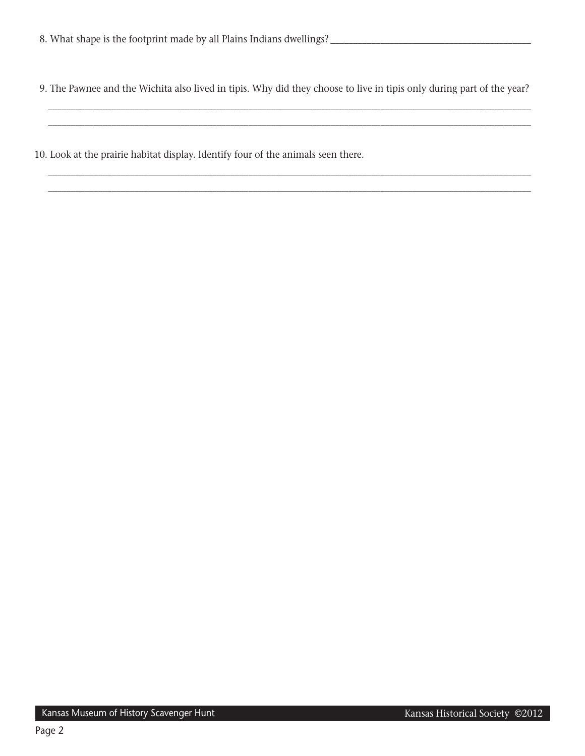9. The Pawnee and the Wichita also lived in tipis. Why did they choose to live in tipis only during part of the year?

\_\_\_\_\_\_\_\_\_\_\_\_\_\_\_\_\_\_\_\_\_\_\_\_\_\_\_\_\_\_\_\_\_\_\_\_\_\_\_\_\_\_\_\_\_\_\_\_\_\_\_\_\_\_\_\_\_\_\_\_\_\_\_\_\_\_\_\_\_\_\_\_\_\_\_\_\_\_\_\_\_\_\_\_\_\_\_\_\_\_\_\_\_\_\_\_\_\_\_\_\_\_\_\_\_\_ \_\_\_\_\_\_\_\_\_\_\_\_\_\_\_\_\_\_\_\_\_\_\_\_\_\_\_\_\_\_\_\_\_\_\_\_\_\_\_\_\_\_\_\_\_\_\_\_\_\_\_\_\_\_\_\_\_\_\_\_\_\_\_\_\_\_\_\_\_\_\_\_\_\_\_\_\_\_\_\_\_\_\_\_\_\_\_\_\_\_\_\_\_\_\_\_\_\_\_\_\_\_\_\_\_\_

\_\_\_\_\_\_\_\_\_\_\_\_\_\_\_\_\_\_\_\_\_\_\_\_\_\_\_\_\_\_\_\_\_\_\_\_\_\_\_\_\_\_\_\_\_\_\_\_\_\_\_\_\_\_\_\_\_\_\_\_\_\_\_\_\_\_\_\_\_\_\_\_\_\_\_\_\_\_\_\_\_\_\_\_\_\_\_\_\_\_\_\_\_\_\_\_\_\_\_\_\_\_\_\_\_\_ \_\_\_\_\_\_\_\_\_\_\_\_\_\_\_\_\_\_\_\_\_\_\_\_\_\_\_\_\_\_\_\_\_\_\_\_\_\_\_\_\_\_\_\_\_\_\_\_\_\_\_\_\_\_\_\_\_\_\_\_\_\_\_\_\_\_\_\_\_\_\_\_\_\_\_\_\_\_\_\_\_\_\_\_\_\_\_\_\_\_\_\_\_\_\_\_\_\_\_\_\_\_\_\_\_\_

10. Look at the prairie habitat display. Identify four of the animals seen there.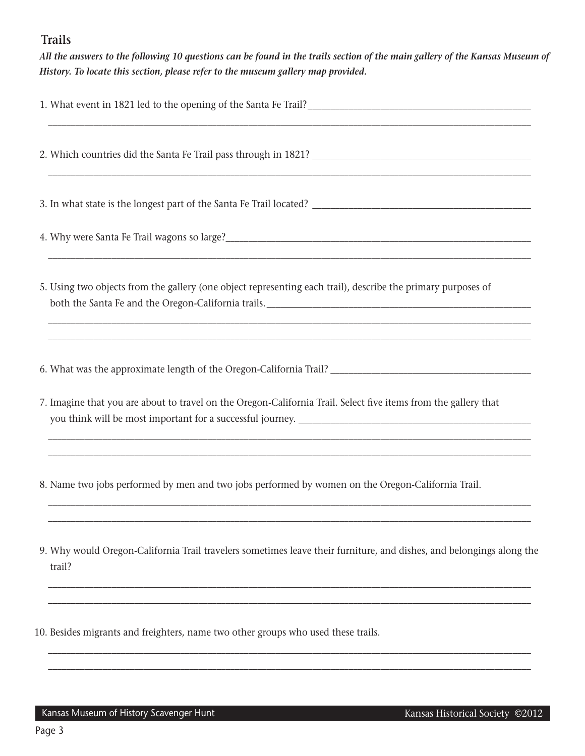## **Trails**

 *All the answers to the following 10 questions can be found in the trails section of the main gallery of the Kansas Museum of History. To locate this section, please refer to the museum gallery map provided.*

| the control of the control of the control of the control of the control of the control of the control of the control of the control of the control of the control of the control of the control of the control of the control |
|-------------------------------------------------------------------------------------------------------------------------------------------------------------------------------------------------------------------------------|
|                                                                                                                                                                                                                               |
|                                                                                                                                                                                                                               |
| 5. Using two objects from the gallery (one object representing each trail), describe the primary purposes of                                                                                                                  |
|                                                                                                                                                                                                                               |
| 7. Imagine that you are about to travel on the Oregon-California Trail. Select five items from the gallery that                                                                                                               |
| ,我们也不会有什么。""我们的人,我们也不会有什么?""我们的人,我们也不会有什么?""我们的人,我们也不会有什么?""我们的人,我们也不会有什么?""我们的人<br>8. Name two jobs performed by men and two jobs performed by women on the Oregon-California Trail.                                         |
| 9. Why would Oregon-California Trail travelers sometimes leave their furniture, and dishes, and belongings along the<br>trail?                                                                                                |
| 10. Besides migrants and freighters, name two other groups who used these trails.                                                                                                                                             |
|                                                                                                                                                                                                                               |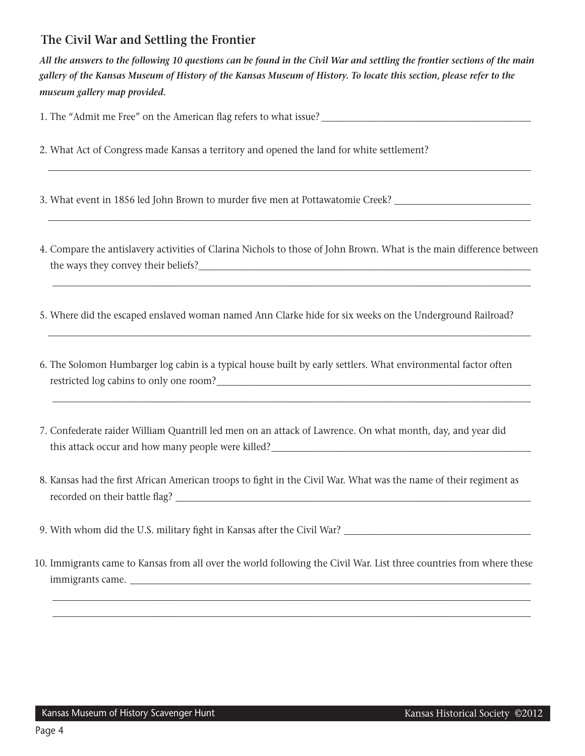# **The Civil War and Settling the Frontier**

 *All the answers to the following 10 questions can be found in the Civil War and settling the frontier sections of the main gallery of the Kansas Museum of History of the Kansas Museum of History. To locate this section, please refer to the museum gallery map provided.*

1. The "Admit me Free" on the American flag refers to what issue?

2. What Act of Congress made Kansas a territory and opened the land for white settlement?

3. What event in 1856 led John Brown to murder five men at Pottawatomie Creek? \_\_\_\_\_\_\_\_\_\_\_\_\_\_\_\_\_\_\_\_\_\_\_\_\_\_\_\_\_\_\_

 4. Compare the antislavery activities of Clarina Nichols to those of John Brown. What is the main difference between the ways they convey their beliefs?\_\_\_\_\_\_\_\_\_\_\_\_\_\_\_\_\_\_\_\_\_\_\_\_\_\_\_\_\_\_\_\_\_\_\_\_\_\_\_\_\_\_\_\_\_\_\_\_\_\_\_\_\_\_\_\_\_\_\_\_\_\_\_\_\_\_\_\_\_\_\_\_\_

\_\_\_\_\_\_\_\_\_\_\_\_\_\_\_\_\_\_\_\_\_\_\_\_\_\_\_\_\_\_\_\_\_\_\_\_\_\_\_\_\_\_\_\_\_\_\_\_\_\_\_\_\_\_\_\_\_\_\_\_\_\_\_\_\_\_\_\_\_\_\_\_\_\_\_\_\_\_\_\_\_\_\_\_\_\_\_\_\_\_\_\_\_\_\_\_\_\_\_\_\_\_\_\_\_

\_\_\_\_\_\_\_\_\_\_\_\_\_\_\_\_\_\_\_\_\_\_\_\_\_\_\_\_\_\_\_\_\_\_\_\_\_\_\_\_\_\_\_\_\_\_\_\_\_\_\_\_\_\_\_\_\_\_\_\_\_\_\_\_\_\_\_\_\_\_\_\_\_\_\_\_\_\_\_\_\_\_\_\_\_\_\_\_\_\_\_\_\_\_\_\_\_\_\_\_\_\_\_\_\_\_

\_\_\_\_\_\_\_\_\_\_\_\_\_\_\_\_\_\_\_\_\_\_\_\_\_\_\_\_\_\_\_\_\_\_\_\_\_\_\_\_\_\_\_\_\_\_\_\_\_\_\_\_\_\_\_\_\_\_\_\_\_\_\_\_\_\_\_\_\_\_\_\_\_\_\_\_\_\_\_\_\_\_\_\_\_\_\_\_\_\_\_\_\_\_\_\_\_\_\_\_\_\_\_\_\_

\_\_\_\_\_\_\_\_\_\_\_\_\_\_\_\_\_\_\_\_\_\_\_\_\_\_\_\_\_\_\_\_\_\_\_\_\_\_\_\_\_\_\_\_\_\_\_\_\_\_\_\_\_\_\_\_\_\_\_\_\_\_\_\_\_\_\_\_\_\_\_\_\_\_\_\_\_\_\_\_\_\_\_\_\_\_\_\_\_\_\_\_\_\_\_\_\_\_\_\_\_\_\_\_\_\_

\_\_\_\_\_\_\_\_\_\_\_\_\_\_\_\_\_\_\_\_\_\_\_\_\_\_\_\_\_\_\_\_\_\_\_\_\_\_\_\_\_\_\_\_\_\_\_\_\_\_\_\_\_\_\_\_\_\_\_\_\_\_\_\_\_\_\_\_\_\_\_\_\_\_\_\_\_\_\_\_\_\_\_\_\_\_\_\_\_\_\_\_\_\_\_\_\_\_\_\_\_\_\_\_\_\_

- 5. Where did the escaped enslaved woman named Ann Clarke hide for six weeks on the Underground Railroad?
- 6. The Solomon Humbarger log cabin is a typical house built by early settlers. What environmental factor often restricted log cabins to only one room?\_\_\_\_\_\_\_\_\_\_\_\_\_\_\_\_\_\_\_\_\_\_\_\_\_\_\_\_\_\_\_\_\_\_\_\_\_\_\_\_\_\_\_\_\_\_\_\_\_\_\_\_\_\_\_\_\_\_\_\_\_\_\_\_\_\_\_\_\_
- 7. Confederate raider William Quantrill led men on an attack of Lawrence. On what month, day, and year did this attack occur and how many people were killed?
- 8. Kansas had the first African American troops to fight in the Civil War. What was the name of their regiment as recorded on their battle flag? \_\_\_\_\_\_\_\_\_\_\_\_\_\_\_\_\_\_\_\_\_\_\_\_\_\_\_\_\_\_\_\_\_\_\_\_\_\_\_\_\_\_\_\_\_\_\_\_\_\_\_\_\_\_\_\_\_\_\_\_\_\_\_\_\_\_\_\_\_\_\_\_\_\_\_\_\_\_
- 9. With whom did the U.S. military fight in Kansas after the Civil War? \_\_\_\_\_\_\_\_\_\_\_\_\_\_\_\_\_\_\_\_\_\_\_\_\_\_\_\_\_\_\_\_\_\_\_\_\_\_\_\_\_
- 10. Immigrants came to Kansas from all over the world following the Civil War. List three countries from where these immigrants came.

\_\_\_\_\_\_\_\_\_\_\_\_\_\_\_\_\_\_\_\_\_\_\_\_\_\_\_\_\_\_\_\_\_\_\_\_\_\_\_\_\_\_\_\_\_\_\_\_\_\_\_\_\_\_\_\_\_\_\_\_\_\_\_\_\_\_\_\_\_\_\_\_\_\_\_\_\_\_\_\_\_\_\_\_\_\_\_\_\_\_\_\_\_\_\_\_\_\_\_\_\_\_\_\_\_ \_\_\_\_\_\_\_\_\_\_\_\_\_\_\_\_\_\_\_\_\_\_\_\_\_\_\_\_\_\_\_\_\_\_\_\_\_\_\_\_\_\_\_\_\_\_\_\_\_\_\_\_\_\_\_\_\_\_\_\_\_\_\_\_\_\_\_\_\_\_\_\_\_\_\_\_\_\_\_\_\_\_\_\_\_\_\_\_\_\_\_\_\_\_\_\_\_\_\_\_\_\_\_\_\_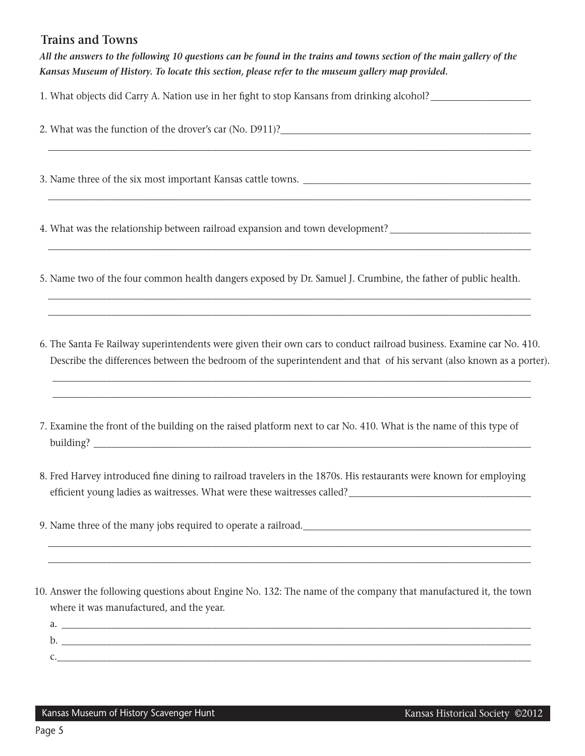### **Trains and Towns**

 *All the answers to the following 10 questions can be found in the trains and towns section of the main gallery of the Kansas Museum of History. To locate this section, please refer to the museum gallery map provided.*

\_\_\_\_\_\_\_\_\_\_\_\_\_\_\_\_\_\_\_\_\_\_\_\_\_\_\_\_\_\_\_\_\_\_\_\_\_\_\_\_\_\_\_\_\_\_\_\_\_\_\_\_\_\_\_\_\_\_\_\_\_\_\_\_\_\_\_\_\_\_\_\_\_\_\_\_\_\_\_\_\_\_\_\_\_\_\_\_\_\_\_\_\_\_\_\_\_\_\_\_\_\_\_\_\_\_

\_\_\_\_\_\_\_\_\_\_\_\_\_\_\_\_\_\_\_\_\_\_\_\_\_\_\_\_\_\_\_\_\_\_\_\_\_\_\_\_\_\_\_\_\_\_\_\_\_\_\_\_\_\_\_\_\_\_\_\_\_\_\_\_\_\_\_\_\_\_\_\_\_\_\_\_\_\_\_\_\_\_\_\_\_\_\_\_\_\_\_\_\_\_\_\_\_\_\_\_\_\_\_\_\_\_

\_\_\_\_\_\_\_\_\_\_\_\_\_\_\_\_\_\_\_\_\_\_\_\_\_\_\_\_\_\_\_\_\_\_\_\_\_\_\_\_\_\_\_\_\_\_\_\_\_\_\_\_\_\_\_\_\_\_\_\_\_\_\_\_\_\_\_\_\_\_\_\_\_\_\_\_\_\_\_\_\_\_\_\_\_\_\_\_\_\_\_\_\_\_\_\_\_\_\_\_\_\_\_\_\_\_

\_\_\_\_\_\_\_\_\_\_\_\_\_\_\_\_\_\_\_\_\_\_\_\_\_\_\_\_\_\_\_\_\_\_\_\_\_\_\_\_\_\_\_\_\_\_\_\_\_\_\_\_\_\_\_\_\_\_\_\_\_\_\_\_\_\_\_\_\_\_\_\_\_\_\_\_\_\_\_\_\_\_\_\_\_\_\_\_\_\_\_\_\_\_\_\_\_\_\_\_\_\_\_\_\_\_ \_\_\_\_\_\_\_\_\_\_\_\_\_\_\_\_\_\_\_\_\_\_\_\_\_\_\_\_\_\_\_\_\_\_\_\_\_\_\_\_\_\_\_\_\_\_\_\_\_\_\_\_\_\_\_\_\_\_\_\_\_\_\_\_\_\_\_\_\_\_\_\_\_\_\_\_\_\_\_\_\_\_\_\_\_\_\_\_\_\_\_\_\_\_\_\_\_\_\_\_\_\_\_\_\_\_

1. What objects did Carry A. Nation use in her fight to stop Kansans from drinking alcohol? \_\_\_\_\_\_\_\_\_\_\_\_\_\_\_\_\_\_

2. What was the function of the drover's car (No. D911)?\_\_\_\_\_\_\_\_\_\_\_\_\_\_\_\_\_\_\_\_\_\_\_\_

3. Name three of the six most important Kansas cattle towns. \_\_\_\_\_\_\_\_\_\_\_\_\_\_\_\_\_\_\_\_\_\_\_\_\_\_\_\_\_\_\_\_\_\_\_\_\_\_\_\_\_\_\_\_\_\_\_\_\_\_

4. What was the relationship between railroad expansion and town development? \_\_\_\_\_\_\_\_\_\_\_\_\_\_\_\_\_\_\_\_\_\_\_\_\_\_\_\_\_\_\_\_

5. Name two of the four common health dangers exposed by Dr. Samuel J. Crumbine, the father of public health.

 6. The Santa Fe Railway superintendents were given their own cars to conduct railroad business. Examine car No. 410. Describe the differences between the bedroom of the superintendent and that of his servant (also known as a porter).

\_\_\_\_\_\_\_\_\_\_\_\_\_\_\_\_\_\_\_\_\_\_\_\_\_\_\_\_\_\_\_\_\_\_\_\_\_\_\_\_\_\_\_\_\_\_\_\_\_\_\_\_\_\_\_\_\_\_\_\_\_\_\_\_\_\_\_\_\_\_\_\_\_\_\_\_\_\_\_\_\_\_\_\_\_\_\_\_\_\_\_\_\_\_\_\_\_\_\_\_\_\_\_\_\_ \_\_\_\_\_\_\_\_\_\_\_\_\_\_\_\_\_\_\_\_\_\_\_\_\_\_\_\_\_\_\_\_\_\_\_\_\_\_\_\_\_\_\_\_\_\_\_\_\_\_\_\_\_\_\_\_\_\_\_\_\_\_\_\_\_\_\_\_\_\_\_\_\_\_\_\_\_\_\_\_\_\_\_\_\_\_\_\_\_\_\_\_\_\_\_\_\_\_\_\_\_\_\_\_\_

- 7. Examine the front of the building on the raised platform next to car No. 410. What is the name of this type of building?  $\Box$
- 8. Fred Harvey introduced fine dining to railroad travelers in the 1870s. His restaurants were known for employing efficient young ladies as waitresses. What were these waitresses called?
- 9. Name three of the many jobs required to operate a railroad.
- 10. Answer the following questions about Engine No. 132: The name of the company that manufactured it, the town where it was manufactured, and the year.

\_\_\_\_\_\_\_\_\_\_\_\_\_\_\_\_\_\_\_\_\_\_\_\_\_\_\_\_\_\_\_\_\_\_\_\_\_\_\_\_\_\_\_\_\_\_\_\_\_\_\_\_\_\_\_\_\_\_\_\_\_\_\_\_\_\_\_\_\_\_\_\_\_\_\_\_\_\_\_\_\_\_\_\_\_\_\_\_\_\_\_\_\_\_\_\_\_\_\_\_\_\_\_\_\_\_ \_\_\_\_\_\_\_\_\_\_\_\_\_\_\_\_\_\_\_\_\_\_\_\_\_\_\_\_\_\_\_\_\_\_\_\_\_\_\_\_\_\_\_\_\_\_\_\_\_\_\_\_\_\_\_\_\_\_\_\_\_\_\_\_\_\_\_\_\_\_\_\_\_\_\_\_\_\_\_\_\_\_\_\_\_\_\_\_\_\_\_\_\_\_\_\_\_\_\_\_\_\_\_\_\_\_

a. b. \_\_\_\_\_\_\_\_\_\_\_\_\_\_\_\_\_\_\_\_\_\_\_\_\_\_\_\_\_\_\_\_\_\_\_\_\_\_\_\_\_\_\_\_\_\_\_\_\_\_\_\_\_\_\_\_\_\_\_\_\_\_\_\_\_\_\_\_\_\_\_\_\_\_\_\_\_\_\_\_\_\_\_\_\_\_\_\_\_\_\_\_\_\_\_\_\_\_\_\_\_\_\_  $c.$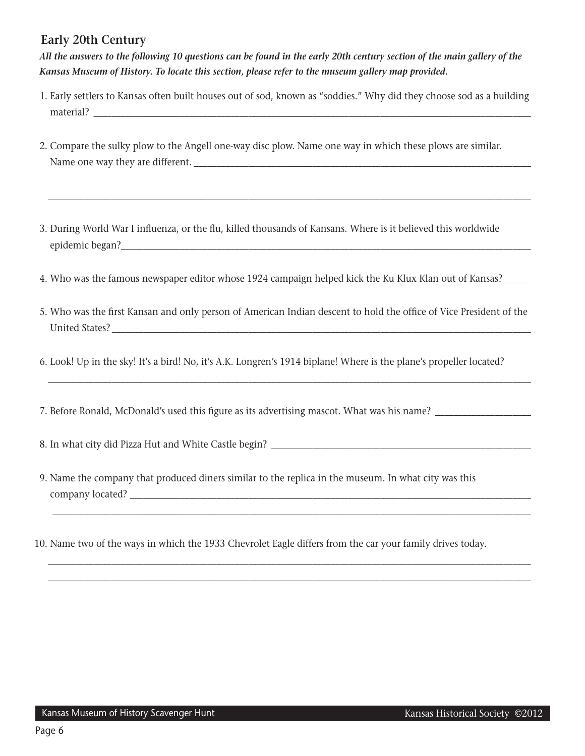## **Early 20th Century**

 *All the answers to the following 10 questions can be found in the early 20th century section of the main gallery of the Kansas Museum of History. To locate this section, please refer to the museum gallery map provided.*

 1. Early settlers to Kansas often built houses out of sod, known as "soddies." Why did they choose sod as a building material? \_\_\_\_\_\_\_\_\_\_\_\_\_\_\_\_\_\_\_\_\_\_\_\_\_\_\_\_\_\_\_\_\_\_\_\_\_\_\_\_\_\_\_\_\_\_\_\_\_\_\_\_\_\_\_\_\_\_\_\_\_\_\_\_\_\_\_\_\_\_\_\_\_\_\_\_\_\_\_\_\_\_\_\_\_\_\_\_\_\_\_\_\_\_\_\_

\_\_\_\_\_\_\_\_\_\_\_\_\_\_\_\_\_\_\_\_\_\_\_\_\_\_\_\_\_\_\_\_\_\_\_\_\_\_\_\_\_\_\_\_\_\_\_\_\_\_\_\_\_\_\_\_\_\_\_\_\_\_\_\_\_\_\_\_\_\_\_\_\_\_\_\_\_\_\_\_\_\_\_\_\_\_\_\_\_\_\_\_\_\_\_\_\_\_\_\_\_\_\_\_\_\_

- 2. Compare the sulky plow to the Angell one-way disc plow. Name one way in which these plows are similar. Name one way they are different. \_\_\_\_\_\_\_\_\_\_\_\_\_\_\_\_\_\_\_\_\_\_\_\_\_\_\_\_\_\_\_\_\_\_\_\_\_\_\_\_\_\_\_\_\_\_\_\_\_\_\_\_\_\_\_\_\_\_\_\_\_\_\_\_\_\_\_\_\_\_\_\_\_\_
- 3. During World War I influenza, or the flu, killed thousands of Kansans. Where is it believed this worldwide epidemic began?
- 4. Who was the famous newspaper editor whose 1924 campaign helped kick the Ku Klux Klan out of Kansas?\_\_\_\_\_\_
- 5. Who was the first Kansan and only person of American Indian descent to hold the office of Vice President of the United States?

\_\_\_\_\_\_\_\_\_\_\_\_\_\_\_\_\_\_\_\_\_\_\_\_\_\_\_\_\_\_\_\_\_\_\_\_\_\_\_\_\_\_\_\_\_\_\_\_\_\_\_\_\_\_\_\_\_\_\_\_\_\_\_\_\_\_\_\_\_\_\_\_\_\_\_\_\_\_\_\_\_\_\_\_\_\_\_\_\_\_\_\_\_\_\_\_\_\_\_\_\_\_\_\_\_\_

\_\_\_\_\_\_\_\_\_\_\_\_\_\_\_\_\_\_\_\_\_\_\_\_\_\_\_\_\_\_\_\_\_\_\_\_\_\_\_\_\_\_\_\_\_\_\_\_\_\_\_\_\_\_\_\_\_\_\_\_\_\_\_\_\_\_\_\_\_\_\_\_\_\_\_\_\_\_\_\_\_\_\_\_\_\_\_\_\_\_\_\_\_\_\_\_\_\_\_\_\_\_\_\_\_

\_\_\_\_\_\_\_\_\_\_\_\_\_\_\_\_\_\_\_\_\_\_\_\_\_\_\_\_\_\_\_\_\_\_\_\_\_\_\_\_\_\_\_\_\_\_\_\_\_\_\_\_\_\_\_\_\_\_\_\_\_\_\_\_\_\_\_\_\_\_\_\_\_\_\_\_\_\_\_\_\_\_\_\_\_\_\_\_\_\_\_\_\_\_\_\_\_\_\_\_\_\_\_\_\_\_ \_\_\_\_\_\_\_\_\_\_\_\_\_\_\_\_\_\_\_\_\_\_\_\_\_\_\_\_\_\_\_\_\_\_\_\_\_\_\_\_\_\_\_\_\_\_\_\_\_\_\_\_\_\_\_\_\_\_\_\_\_\_\_\_\_\_\_\_\_\_\_\_\_\_\_\_\_\_\_\_\_\_\_\_\_\_\_\_\_\_\_\_\_\_\_\_\_\_\_\_\_\_\_\_\_\_

- 6. Look! Up in the sky! It's a bird! No, it's A.K. Longren's 1914 biplane! Where is the plane's propeller located?
- 7. Before Ronald, McDonald's used this figure as its advertising mascot. What was his name?
- 8. In what city did Pizza Hut and White Castle begin? \_\_\_\_\_\_\_\_\_\_\_\_\_\_\_\_\_\_\_\_\_\_\_\_\_\_\_\_\_\_\_\_\_\_\_\_\_\_\_\_\_\_\_\_\_\_\_\_\_\_\_\_\_\_\_\_\_
- 9. Name the company that produced diners similar to the replica in the museum. In what city was this company located?
- 10. Name two of the ways in which the 1933 Chevrolet Eagle differs from the car your family drives today.